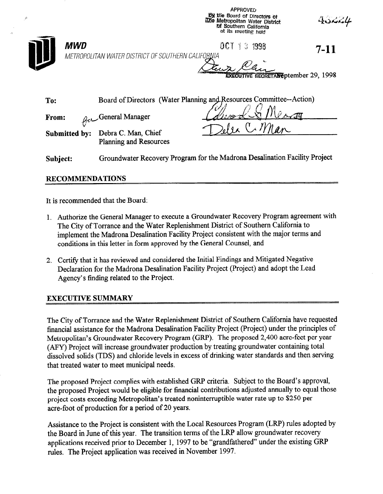

APPROVED

Subject: Groundwater Recovery Program for the Madrona Desalination Facility Project

# RECOMMENDATIONS

s)

It is recommended that the Board:

- 1. Authorize the General Manager to execute a Groundwater Recovery Program agreement with The City of Torrance and the Water Replenishment District of Southern California to implement the Madrona Desalination Facility Project consistent with the major terms and conditions in this letter in form approved by the General Counsel, and
- 2. Certify that it has reviewed and considered the Initial Findings and Mitigated Negative Declaration for the Madrona Desalination Facility Project (Project) and adopt the Lead Agency's finding related to the Project.

# EXECUTIVE SUMMARY

The City of Torrance and the Water Replenishment District of Southern California have requested financial assistance for the Madrona Desalination Facility Project (Project) under the principles of Metropolitan's Groundwater Recovery Program (GRP). The proposed 2,400 acre-feet per year (AFY) Project will increase groundwater production by treating groundwater containing total dissolved solids (TDS) and chloride levels in excess of drinking water standards and then serving that treated water to meet municipal needs.

The proposed Project complies with established GRP criteria. Subject to the Board's approval, the proposed Project would be eligible for financial contributions adjusted annually to equal those project costs exceeding Metropolitan's treated noninterruptible water rate up to \$250 per acre-foot of production for a period of 20 years.

Assistance to the Project is consistent with the Local Resources Program (LRP) rules adopted by the Board in June of this year. The transition terms of the LRP allow groundwater recovery applications received prior to December 1, 1997 to be "grandfathered" under the existing GRP rules. The Project application was received in November 1997.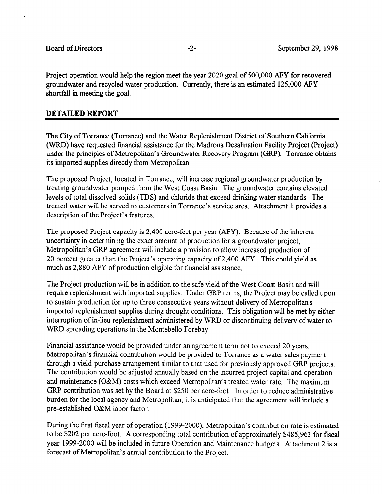Project operation would help the region meet the year 2020 goal of 500,000 AFY for recovered groundwater and recycled water production. Currently, there is an estimated 125,000 AFY shortfall in meeting the goal.

#### DETAILED REPORT

The City of Torrance (Torrance) and the Water Replenishment District of Southern California (WRD) have requested financial assistance for the Madrona Desalination Facility Project (Project) under the principles of Metropolitan's Groundwater Recovery Program (GRP). Torrance obtains its imported supplies directly from Metropolitan.

The proposed Project, located in Torrance, will increase regional groundwater production by treating groundwater pumped from the West Coast Basin. The groundwater contains elevated levels of total dissolved solids (TDS) and chloride that exceed drinking water standards. The treated water will be served to customers in Torrance's service area. Attachment 1 provides a description of the Project's features.

The proposed Project capacity is 2,400 acre-feet per year (AFY). Because of the inherent uncertainty in determining the exact amount of production for a groundwater project, Metropolitan's GRP agreement will include a provision to allow increased production of 20 percent greater than the Project's operating capacity of 2,400 AFY. This could yield as much as 2,880 AFY of production eligible for financial assistance.

The Project production will be in addition to the safe yield of the West Coast Basin and will require replenishment with imported supplies. Under GRP terms, the Project may be called upon to sustain production for up to three consecutive years without delivery of Metropolitan's imported replenishment supplies during drought conditions. This obligation will be met by either interruption of in-lieu replenishment administered by WRD or discontinuing delivery of water to WRD spreading operations in the Montebello Forebay.

Financial assistance would be provided under an agreement term not to exceed 20 years. Metropolitan's financial contribution would be provided to Torrance as a water sales payment through a yield-purchase arrangement similar to that used for previously approved GRP projects. The contribution would be adjusted annually based on the incurred project capital and operation and maintenance (O&M) costs which exceed Metropolitan's treated water rate. The maximum GRP contribution was set by the Board at \$250 per acre-foot. In order to reduce administrative burden for the local agency and Metropolitan, it is anticipated that the agreement will include a pre-established O&M labor factor.

During the first fiscal year of operation (1999-2000). Metropolitan's contribution rate is estimated to be \$202 per acre-foot. A corresponding total contribution of approximately \$485,963 for fiscal year 1999-2000 will be included in future Operation and Maintenance budgets, Attachment 2 is a forecast of Metropolitan's annual contribution to the Project.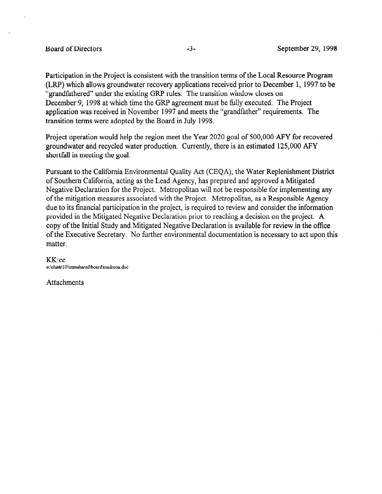Participation in the Project is consistent with the transition terms of the Local Resource Program (LRP) which allows groundwater recovery applications received prior to December 1, 1997 to be "grandfathered" under the existing GRP rules. The transition window closes on December 9, 1998 at which time the GRP agreement must be fully executed. The Project application was received in November 1997 and meets the "grandfather" requirements. The transition terms were adopted by the Board in July 1998.

Project operation would help the region meet the Year 2020 goal of 500,000 APY for recovered groundwater and recycled water production. Currently, there is an estimated 125,000 APY shortfall in meeting the goal.

Pursuant to the California Environmental Quality Act (CEQA), the Water Replenishment District of Southern California, acting as the Lead Agency, has prepared and approved a Mitigated Negative Declaration for the Project. Metropolitan will not be responsible for implementing any of the mitigation measures associated with the Project. Metropolitan, as a Responsible Agency due to its financial participation in the project, is required to review and consider the information provided in the Mitigated Negative Declaration prior to reaching a decision on the project, A copy of the Initial Study and Mitigated Negative Declaration is available for review in the ofice of the Executive Secretary. No further environmental documentation is necessary to act upon this matter.

KK:cc o:\clustrlO\immshared\board~adrona.doc

**Attachments**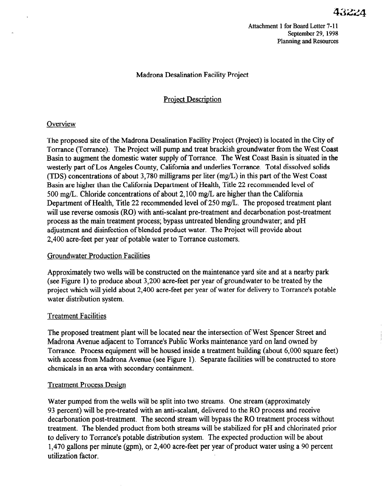# 43224

Attachment 1 for Board Letter 7-11 September 29, 1998 Planning and Resources

#### Madrona Desalination Facility Project

#### Project Description

#### **Overview**

The proposed site of the Madrona Desalination Facility Project (Project) is located in the City of Torrance (Torrance). The Project will pump and treat brackish groundwater from the West Coast Basin to augment the domestic water supply of Torrance. The West Coast Basin is situated in the westerly part of Los Angeles County, California and underlies Torrance. Total dissolved solids (TDS) concentrations of about 3,780 milligrams per liter (mg/L) in this part of the West Coast Basin are higher than the California Department of Health, Title 22 recommended level of 500 mg/L. Chloride concentrations of about 2,100 mg/L are higher than the California Department of Health, Title 22 recommended level of 250 mg/L. The proposed treatment plant will use reverse osmosis (RO) with anti-scalant pre-treatment and decarbonation post-treatment process as the main treatment process; bypass untreated blending groundwater; and pH adjustment and disinfection of blended product water. The Project will provide about 2,400 acre-feet per year of potable water to Torrance customers.

#### Groundwater Production Facilities

 $A$ proximately two wells will be constructed on the maintenance yard site and at a nearby park  $\alpha$ Approximately two wens will be constructed on the maintenance yard site and at a hearby pa  $\beta$  is the right  $\beta$  to produce about  $\beta$ , 200 acre-feet per year of ground water to be treated by the project will climate and

#### Treatment Facilities

The proposed treatment plant will be located near the intersection of  $W$ I he proposed treatment plant will be located hear the intersection of west spencer street a Madrona Avenue adjacent to Torrance's Public Works maintenance yard on land owned by Torrance. Process equipment will be housed inside a treatment building (about 6,000 square feet). with access from Madrona Avenue (see Figure 1). Separate facilities will be constructed to store chemicals in an area with secondary containment.

#### **Treatment Process Design**

Water pumped from the wells will be split into two streams. One stream (approximately 93 percent) will be pre-treated with an anti-scalant, delivered to the RO process and receive decarbonation post-treatment. The second stream will bypass the RO treatment process without treatment. The blended product from both streams will be stabilized for pH and chlorinated prior to delivery to Torrance's potable distribution system. The expected production will be about 1,470 gallons per minute (gpm), or 2,400 acre-feet per year of product water using a 90 percent utilization factor.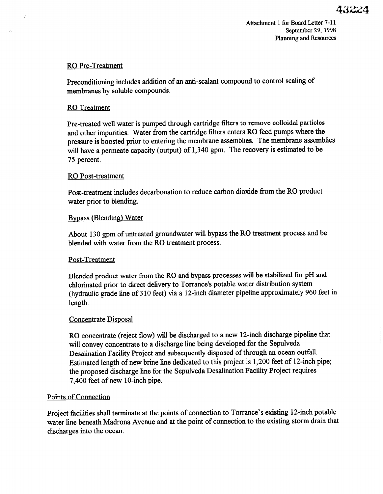# RO Pre-Treatment

Preconditioning includes addition of an anti-sealant compound to control scaling of membranes by soluble compounds.

# RO Treatment

Pre-treated well water is pumped through cartridge filters to remove colloidal particles and other impurities. Water from the cartridge filters enters RO feed pumps where the pressure is boosted prior to entering the membrane assemblies. The membrane assemblies will have a permeate capacity (output) of 1,340 gpm. The recovery is estimated to be 75 percent.

# RO Post-treatment

Post-treatment includes decarbonation to reduce carbon dioxide from the RO product water prior to blending.

# Bypass (Blending) Water

About 130 gpm of untreated groundwater will bypass the RO treatment process and be blended with water from the RO treatment process.

# Post-Treatment

Blended product water from the RO and bypass processes will be stabilized for pH and chlorinated prior to direct delivery to Torrance's potable water distribution system (hydraulic grade line of 3 10 feet) via a 12-inch diameter pipeline approximately 960 feet in length.

# Concentrate Disposal

RO concentrate (reject flow) will be discharged to a new 12-inch discharge pipeline that will convey concentrate to a discharge line being developed for the Sepulveda Desalination Facility Project and subsequently disposed of through an ocean outfall. Estimated length of new brine line dedicated to this project is 1,200 feet of 12-inch pipe; the proposed discharge line for the Sepulveda Desalination Facility Project requires 7,400 feet of new 10-inch pipe.

# Points of Connection

Project facilities shall terminate at the points of connection to Torrance's existing 12-inch potable water line beneath Madrona Avenue and at the point of connection to the existing storm drain that discharges into the ocean.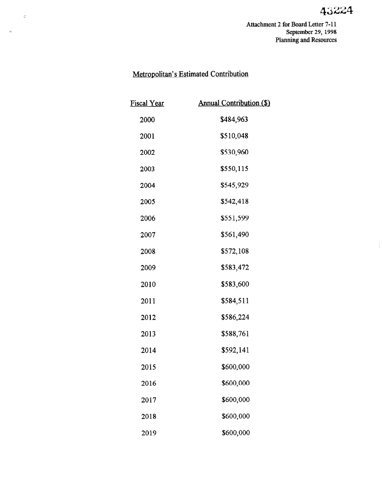# 43224

÷

Attachment 2 for Board Letter 7-11 September 29, 1998 Planning and Resources

# Metropolitan's Estimated Contribution

 $\bar{\varepsilon}$ 

 $\langle \rangle$ 

| <u>Fiscal Year</u> | <b>Annual Contribution (\$)</b> |
|--------------------|---------------------------------|
| 2000               | \$484,963                       |
| 2001               | \$510,048                       |
| 2002               | \$530,960                       |
| 2003               | \$550,115                       |
| 2004               | \$545,929                       |
| 2005               | \$542,418                       |
| 2006               | \$551,599                       |
| 2007               | \$561,490                       |
| 2008               | \$572,108                       |
| 2009               | \$583,472                       |
| 2010               | \$583,600                       |
| 2011               | \$584,511                       |
| 2012               | \$586,224                       |
| 2013               | \$588,761                       |
| 2014               | \$592,141                       |
| 2015               | \$600,000                       |
| 2016               | \$600,000                       |
| 2017               | \$600,000                       |
| 2018               | \$600,000                       |
| 2019               | \$600.000                       |